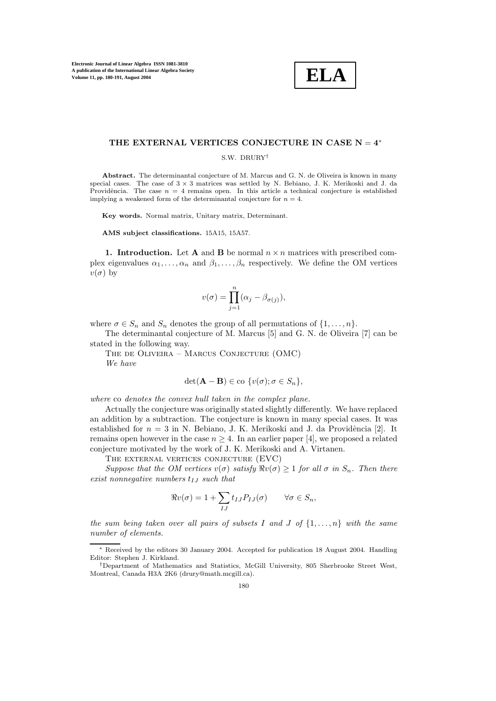

## **THE EXTERNAL VERTICES CONJECTURE IN CASE N** = **4**<sup>∗</sup>

S.W. DRURY†

**Abstract.** The determinantal conjecture of M. Marcus and G. N. de Oliveira is known in many special cases. The case of  $3 \times 3$  matrices was settled by N. Bebiano, J. K. Merikoski and J. da Providência. The case  $n = 4$  remains open. In this article a technical conjecture is established implying a weakened form of the determinantal conjecture for  $n = 4$ .

Key words. Normal matrix, Unitary matrix, Determinant.

**AMS subject classifications.** 15A15, 15A57.

**1. Introduction.** Let **A** and **B** be normal  $n \times n$  matrices with prescribed complex eigenvalues  $\alpha_1, \ldots, \alpha_n$  and  $\beta_1, \ldots, \beta_n$  respectively. We define the OM vertices  $v(\sigma)$  by

$$
v(\sigma) = \prod_{j=1}^{n} (\alpha_j - \beta_{\sigma(j)}),
$$

where  $\sigma \in S_n$  and  $S_n$  denotes the group of all permutations of  $\{1,\ldots,n\}$ .

The determinantal conjecture of M. Marcus [5] and G. N. de Oliveira [7] can be stated in the following way.

The de Oliveira – Marcus Conjecture (OMC) We have

$$
\det(\mathbf{A} - \mathbf{B}) \in \text{co } \{v(\sigma); \sigma \in S_n\},\
$$

where co denotes the convex hull taken in the complex plane.

Actually the conjecture was originally stated slightly differently. We have replaced an addition by a subtraction. The conjecture is known in many special cases. It was established for  $n = 3$  in N. Bebiano, J. K. Merikoski and J. da Providência [2]. It remains open however in the case  $n \geq 4$ . In an earlier paper [4], we proposed a related conjecture motivated by the work of J. K. Merikoski and A. Virtanen.

The external vertices conjecture (EVC)

Suppose that the OM vertices  $v(\sigma)$  satisfy  $\Re v(\sigma) \geq 1$  for all  $\sigma$  in  $S_n$ . Then there exist nonnegative numbers  $t_{IJ}$  such that

$$
\Re v(\sigma) = 1 + \sum_{IJ} t_{IJ} P_{IJ}(\sigma) \qquad \forall \sigma \in S_n,
$$

the sum being taken over all pairs of subsets I and J of  $\{1,\ldots,n\}$  with the same number of elements.

<sup>∗</sup> Received bythe editors 30 January2004. Accepted for publication 18 August 2004. Handling Editor: Stephen J. Kirkland.

<sup>†</sup>Department of Mathematics and Statistics, McGill University, 805 Sherbrooke Street West, Montreal, Canada H3A 2K6 (drury@math.mcgill.ca).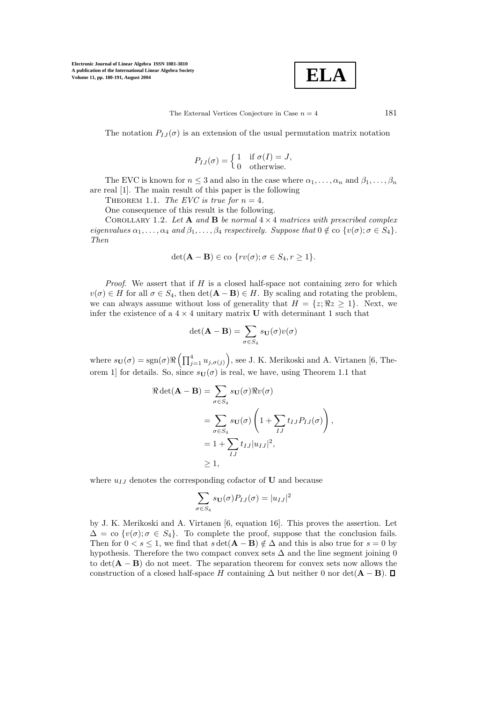

The External Vertices Conjecture in Case  $n = 4$  181

The notation  $P_{I,J}(\sigma)$  is an extension of the usual permutation matrix notation

$$
P_{IJ}(\sigma) = \begin{cases} 1 & \text{if } \sigma(I) = J, \\ 0 & \text{otherwise.} \end{cases}
$$

The EVC is known for  $n \leq 3$  and also in the case where  $\alpha_1, \ldots, \alpha_n$  and  $\beta_1, \ldots, \beta_n$ are real [1]. The main result of this paper is the following

THEOREM 1.1. The EVC is true for  $n = 4$ .

One consequence of this result is the following.

COROLLARY 1.2. Let **A** and **B** be normal  $4 \times 4$  matrices with prescribed complex eigenvalues  $\alpha_1,\ldots,\alpha_4$  and  $\beta_1,\ldots,\beta_4$  respectively. Suppose that  $0 \notin \infty$  { $v(\sigma);\sigma \in S_4$  }. Then

$$
\det(\mathbf{A} - \mathbf{B}) \in \text{co } \{ rv(\sigma) ; \sigma \in S_4, r \ge 1 \}.
$$

*Proof.* We assert that if  $H$  is a closed half-space not containing zero for which  $v(\sigma) \in H$  for all  $\sigma \in S_4$ , then  $\det(\mathbf{A} - \mathbf{B}) \in H$ . By scaling and rotating the problem, we can always assume without loss of generality that  $H = \{z; \Re z \geq 1\}$ . Next, we infer the existence of a  $4 \times 4$  unitary matrix **U** with determinant 1 such that

$$
\det(\mathbf{A} - \mathbf{B}) = \sum_{\sigma \in S_4} s_{\mathbf{U}}(\sigma) v(\sigma)
$$

where  $s_{\mathbf{U}}(\sigma) = sgn(\sigma) \Re \left( \prod_{j=1}^4 u_{j,\sigma(j)} \right)$ , see J. K. Merikoski and A. Virtanen [6, Theorem 1] for details. So, since  $s_{\mathbf{U}}(\sigma)$  is real, we have, using Theorem 1.1 that

$$
\Re \det(\mathbf{A} - \mathbf{B}) = \sum_{\sigma \in S_4} s_{\mathbf{U}}(\sigma) \Re v(\sigma)
$$
  
= 
$$
\sum_{\sigma \in S_4} s_{\mathbf{U}}(\sigma) \left( 1 + \sum_{IJ} t_{IJ} P_{IJ}(\sigma) \right),
$$
  
= 
$$
1 + \sum_{IJ} t_{IJ} |u_{IJ}|^2,
$$
  

$$
\geq 1,
$$

where  $u_{IJ}$  denotes the corresponding cofactor of **U** and because

$$
\sum_{\sigma \in S_4} s_{\mathbf{U}}(\sigma) P_{IJ}(\sigma) = |u_{IJ}|^2
$$

by J. K. Merikoski and A. Virtanen [6, equation 16]. This proves the assertion. Let  $\Delta = \text{co } \{v(\sigma) : \sigma \in S_4\}.$  To complete the proof, suppose that the conclusion fails. Then for  $0 < s \leq 1$ , we find that  $s \det(\mathbf{A} - \mathbf{B}) \notin \Delta$  and this is also true for  $s = 0$  by hypothesis. Therefore the two compact convex sets  $\Delta$  and the line segment joining 0 to det(**A** − **B**) do not meet. The separation theorem for convex sets now allows the construction of a closed half-space H containing  $\Delta$  but neither 0 nor det( $\mathbf{A} - \mathbf{B}$ ).  $\Box$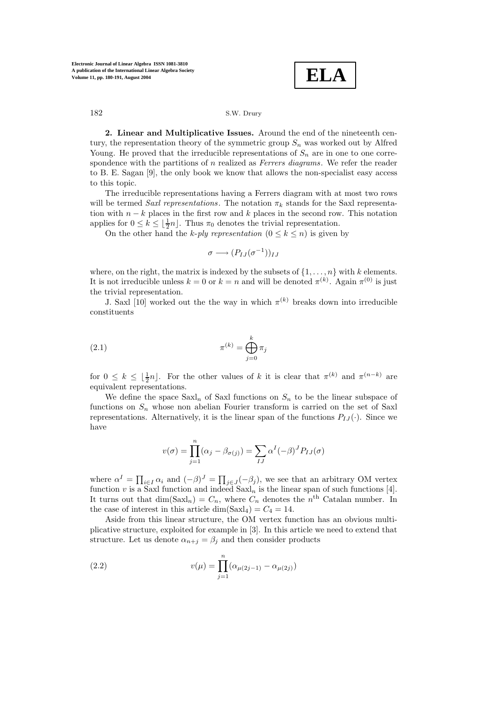**ELA**

**2. Linear and Multiplicative Issues.** Around the end of the nineteenth century, the representation theory of the symmetric group  $S_n$  was worked out by Alfred Young. He proved that the irreducible representations of  $S_n$  are in one to one correspondence with the partitions of  $n$  realized as *Ferrers diagrams*. We refer the reader to B. E. Sagan [9], the only book we know that allows the non-specialist easy access to this topic.

The irreducible representations having a Ferrers diagram with at most two rows will be termed Saxl representations. The notation  $\pi_k$  stands for the Saxl representation with  $n - k$  places in the first row and k places in the second row. This notation applies for  $0 \leq k \leq \lfloor \frac{1}{2}n \rfloor$ . Thus  $\pi_0$  denotes the trivial representation.

On the other hand the k-ply representation  $(0 \leq k \leq n)$  is given by

$$
\sigma \longrightarrow (P_{IJ}(\sigma^{-1}))_{IJ}
$$

where, on the right, the matrix is indexed by the subsets of  $\{1,\ldots,n\}$  with k elements. It is not irreducible unless  $k = 0$  or  $k = n$  and will be denoted  $\pi^{(k)}$ . Again  $\pi^{(0)}$  is just the trivial representation.

J. Saxl [10] worked out the the way in which  $\pi^{(k)}$  breaks down into irreducible constituents

$$
\pi^{(k)} = \bigoplus_{j=0}^{k} \pi_j
$$

for  $0 \leq k \leq \lfloor \frac{1}{2}n \rfloor$ . For the other values of k it is clear that  $\pi^{(k)}$  and  $\pi^{(n-k)}$  are equivalent representations.

We define the space  $Saxl_n$  of Saxl functions on  $S_n$  to be the linear subspace of functions on  $S_n$  whose non abelian Fourier transform is carried on the set of Saxl representations. Alternatively, it is the linear span of the functions  $P_{IJ}(\cdot)$ . Since we have

$$
v(\sigma) = \prod_{j=1}^{n} (\alpha_j - \beta_{\sigma(j)}) = \sum_{IJ} \alpha^I (-\beta)^J P_{IJ}(\sigma)
$$

where  $\alpha^I = \prod_{i \in I} \alpha_i$  and  $(-\beta)^J = \prod_{j \in J} (-\beta_j)$ , we see that an arbitrary OM vertex function v is a Saxl function and indeed  $Saxl_n$  is the linear span of such functions [4]. It turns out that  $\dim(Saxl_n) = C_n$ , where  $C_n$  denotes the n<sup>th</sup> Catalan number. In the case of interest in this article dim(Saxl<sub>4</sub>) =  $C_4 = 14$ .

Aside from this linear structure, the OM vertex function has an obvious multiplicative structure, exploited for example in [3]. In this article we need to extend that structure. Let us denote  $\alpha_{n+j} = \beta_j$  and then consider products

(2.2) 
$$
v(\mu) = \prod_{j=1}^{n} (\alpha_{\mu(2j-1)} - \alpha_{\mu(2j)})
$$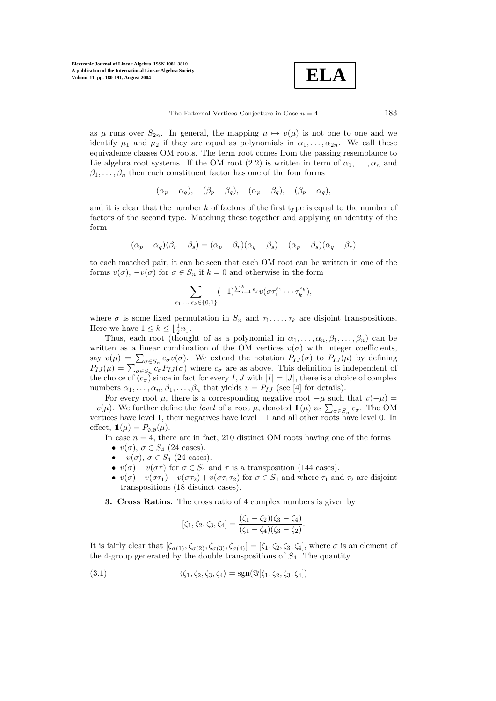**ELA**

The External Vertices Conjecture in Case  $n = 4$  183

as  $\mu$  runs over  $S_{2n}$ . In general, the mapping  $\mu \mapsto v(\mu)$  is not one to one and we identify  $\mu_1$  and  $\mu_2$  if they are equal as polynomials in  $\alpha_1,\ldots,\alpha_{2n}$ . We call these equivalence classes OM roots. The term root comes from the passing resemblance to Lie algebra root systems. If the OM root (2.2) is written in term of  $\alpha_1, \ldots, \alpha_n$  and  $\beta_1,\ldots,\beta_n$  then each constituent factor has one of the four forms

$$
(\alpha_p - \alpha_q), \quad (\beta_p - \beta_q), \quad (\alpha_p - \beta_q), \quad (\beta_p - \alpha_q),
$$

and it is clear that the number  $k$  of factors of the first type is equal to the number of factors of the second type. Matching these together and applying an identity of the form

$$
(\alpha_p - \alpha_q)(\beta_r - \beta_s) = (\alpha_p - \beta_r)(\alpha_q - \beta_s) - (\alpha_p - \beta_s)(\alpha_q - \beta_r)
$$

to each matched pair, it can be seen that each OM root can be written in one ofthe forms  $v(\sigma)$ ,  $-v(\sigma)$  for  $\sigma \in S_n$  if  $k=0$  and otherwise in the form

$$
\sum_{\epsilon_1,\ldots,\epsilon_k\in\{0,1\}} (-1)^{\sum_{j=1}^k \epsilon_j} v(\sigma\tau_1^{\epsilon_1}\cdots\tau_k^{\epsilon_k}),
$$

where  $\sigma$  is some fixed permutation in  $S_n$  and  $\tau_1,\ldots,\tau_k$  are disjoint transpositions. Here we have  $1 \leq k \leq \lfloor \frac{1}{2}n \rfloor$ .

Thus, each root (thought of as a polynomial in  $\alpha_1, \ldots, \alpha_n, \beta_1, \ldots, \beta_n$ ) can be written as a linear combination of the OM vertices  $v(\sigma)$  with integer coefficients, say  $v(\mu) = \sum_{\sigma \in S_n} c_{\sigma} v(\sigma)$ . We extend the notation  $P_{IJ}(\sigma)$  to  $P_{IJ}(\mu)$  by defining  $P_{IJ}(\mu) = \sum_{\sigma \in S_n} c_{\sigma} P_{IJ}(\sigma)$  where  $c_{\sigma}$  are as above. This definition is independent of the choice of  $(c_{\sigma})$  since in fact for every I, J with  $|I| = |J|$ , there is a choice of complex numbers  $\alpha_1, \ldots, \alpha_n, \beta_1, \ldots, \beta_n$  that yields  $v = P_{IJ}$  (see [4] for details).

For every root  $\mu$ , there is a corresponding negative root  $-\mu$  such that  $v(-\mu)$  =  $-v(\mu)$ . We further define the *level* of a root  $\mu$ , denoted  $\mathbb{1}(\mu)$  as  $\sum_{\sigma \in S_n} c_{\sigma}$ . The OM vertices have level 1, their negatives have level −1 and all other roots have level 0. In effect,  $\mathbb{1}(\mu) = P_{\emptyset, \emptyset}(\mu)$ .

In case  $n = 4$ , there are in fact, 210 distinct OM roots having one of the forms

- $v(\sigma)$ ,  $\sigma \in S_4$  (24 cases).
- $\bullet -v(\sigma)$ ,  $\sigma \in S_4$  (24 cases).
- $v(\sigma) v(\sigma \tau)$  for  $\sigma \in S_4$  and  $\tau$  is a transposition (144 cases).
- $v(\sigma) v(\sigma \tau_1) v(\sigma \tau_2) + v(\sigma \tau_1 \tau_2)$  for  $\sigma \in S_4$  and where  $\tau_1$  and  $\tau_2$  are disjoint transpositions (18 distinct cases).
- **3. Cross Ratios.** The cross ratio of 4 complex numbers is given by

$$
[\zeta_1, \zeta_2, \zeta_3, \zeta_4] = \frac{(\zeta_1 - \zeta_2)(\zeta_3 - \zeta_4)}{(\zeta_1 - \zeta_4)(\zeta_3 - \zeta_2)}.
$$

It is fairly clear that  $[\zeta_{\sigma(1)}, \zeta_{\sigma(2)}, \zeta_{\sigma(3)}, \zeta_{\sigma(4)}] = [\zeta_1, \zeta_2, \zeta_3, \zeta_4]$ , where  $\sigma$  is an element of the 4-group generated by the double transpositions of  $S<sub>4</sub>$ . The quantity

(3.1) 
$$
\langle \zeta_1, \zeta_2, \zeta_3, \zeta_4 \rangle = \text{sgn}(\Im[\zeta_1, \zeta_2, \zeta_3, \zeta_4])
$$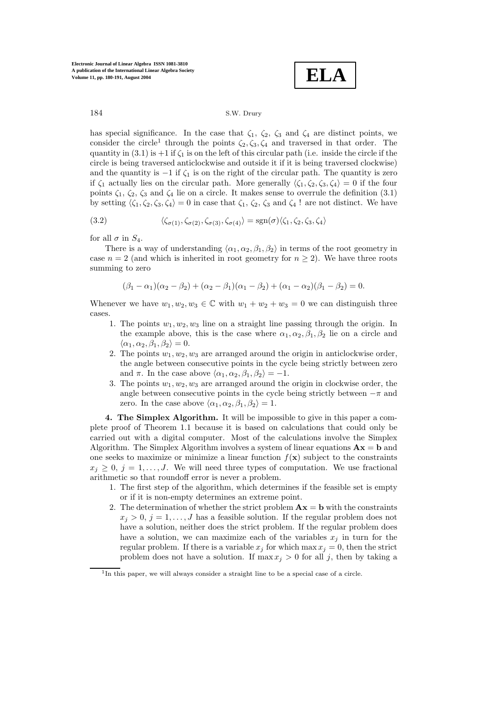**ELA**

has special significance. In the case that  $\zeta_1$ ,  $\zeta_2$ ,  $\zeta_3$  and  $\zeta_4$  are distinct points, we consider the circle<sup>1</sup> through the points  $\zeta_2, \zeta_3, \zeta_4$  and traversed in that order. The quantity in (3.1) is  $+1$  if  $\zeta_1$  is on the left of this circular path (i.e. inside the circle if the circle is being traversed anticlockwise and outside it ifit is being traversed clockwise) and the quantity is  $-1$  if  $\zeta_1$  is on the right of the circular path. The quantity is zero if  $\zeta_1$  actually lies on the circular path. More generally  $\langle \zeta_1, \zeta_2, \zeta_3, \zeta_4 \rangle = 0$  if the four points  $\zeta_1, \zeta_2, \zeta_3$  and  $\zeta_4$  lie on a circle. It makes sense to overrule the definition (3.1) by setting  $\langle \zeta_1, \zeta_2, \zeta_3, \zeta_4 \rangle = 0$  in case that  $\zeta_1, \zeta_2, \zeta_3$  and  $\zeta_4$ ! are not distinct. We have

(3.2) 
$$
\langle \zeta_{\sigma(1)}, \zeta_{\sigma(2)}, \zeta_{\sigma(3)}, \zeta_{\sigma(4)} \rangle = \text{sgn}(\sigma) \langle \zeta_1, \zeta_2, \zeta_3, \zeta_4 \rangle
$$

for all  $\sigma$  in  $S_4$ .

There is a way of understanding  $\langle \alpha_1, \alpha_2, \beta_1, \beta_2 \rangle$  in terms of the root geometry in case  $n = 2$  (and which is inherited in root geometry for  $n \geq 2$ ). We have three roots summing to zero

$$
(\beta_1 - \alpha_1)(\alpha_2 - \beta_2) + (\alpha_2 - \beta_1)(\alpha_1 - \beta_2) + (\alpha_1 - \alpha_2)(\beta_1 - \beta_2) = 0.
$$

Whenever we have  $w_1, w_2, w_3 \in \mathbb{C}$  with  $w_1 + w_2 + w_3 = 0$  we can distinguish three cases.

- 1. The points  $w_1, w_2, w_3$  line on a straight line passing through the origin. In the example above, this is the case where  $\alpha_1, \alpha_2, \beta_1, \beta_2$  lie on a circle and  $\langle \alpha_1, \alpha_2, \beta_1, \beta_2 \rangle = 0.$
- 2. The points  $w_1, w_2, w_3$  are arranged around the origin in anticlockwise order, the angle between consecutive points in the cycle being strictly between zero and  $\pi$ . In the case above  $\langle \alpha_1, \alpha_2, \beta_1, \beta_2 \rangle = -1$ .
- 3. The points  $w_1, w_2, w_3$  are arranged around the origin in clockwise order, the angle between consecutive points in the cycle being strictly between  $-\pi$  and zero. In the case above  $\langle \alpha_1, \alpha_2, \beta_1, \beta_2 \rangle = 1$ .

**4. The Simplex Algorithm.** It will be impossible to give in this paper a complete proof of Theorem 1.1 because it is based on calculations that could only be carried out with a digital computer. Most of the calculations involve the Simplex Algorithm. The Simplex Algorithm involves a system of linear equations  $\mathbf{A}\mathbf{x} = \mathbf{b}$  and one seeks to maximize or minimize a linear function  $f(\mathbf{x})$  subject to the constraints  $x_j \geq 0, j = 1, \ldots, J$ . We will need three types of computation. We use fractional arithmetic so that roundoff error is never a problem.

- 1. The first step of the algorithm, which determines if the feasible set is empty or if it is non-empty determines an extreme point.
- 2. The determination of whether the strict problem  $\mathbf{A}\mathbf{x} = \mathbf{b}$  with the constraints  $x_i > 0, j = 1, \ldots, J$  has a feasible solution. If the regular problem does not have a solution, neither does the strict problem. If the regular problem does have a solution, we can maximize each of the variables  $x_j$  in turn for the regular problem. If there is a variable  $x_j$  for which max  $x_j = 0$ , then the strict problem does not have a solution. If  $\max x_j > 0$  for all j, then by taking a

<sup>&</sup>lt;sup>1</sup>In this paper, we will always consider a straight line to be a special case of a circle.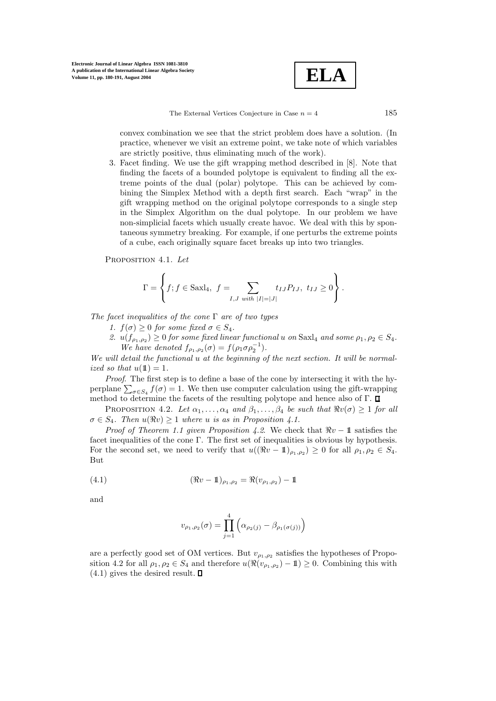$$
\boxed{\textbf{ELA}}
$$

The External Vertices Conjecture in Case  $n = 4$  185

convex combination we see that the strict problem does have a solution. (In practice, whenever we visit an extreme point, we take note of which variables are strictly positive, thus eliminating much of the work).

3. Facet finding. We use the gift wrapping method described in [8]. Note that finding the facets of a bounded polytope is equivalent to finding all the extreme points of the dual (polar) polytope. This can be achieved by combining the Simplex Method with a depth first search. Each "wrap" in the gift wrapping method on the original polytope corresponds to a single step in the Simplex Algorithm on the dual polytope. In our problem we have non-simplicial facets which usually create havoc. We deal with this by spontaneous symmetry breaking. For example, if one perturbs the extreme points ofa cube, each originally square facet breaks up into two triangles.

PROPOSITION 4.1. Let

$$
\Gamma = \left\{ f; f \in Saxl_4, \ f = \sum_{I,J \ with \ |I|=|J|} t_{IJ} P_{IJ}, \ t_{IJ} \ge 0 \right\}.
$$

The facet inequalities of the cone  $\Gamma$  are of two types

1.  $f(\sigma) \geq 0$  for some fixed  $\sigma \in S_4$ .

2.  $u(f_{\rho_1,\rho_2}) \geq 0$  for some fixed linear functional u on Saxl<sub>4</sub> and some  $\rho_1, \rho_2 \in S_4$ . We have denoted  $f_{\rho_1,\rho_2}(\sigma) = f(\rho_1 \sigma \rho_2^{-1}).$ 

We will detail the functional u at the beginning of the next section. It will be normalized so that  $u(1)=1$ .

Proof. The first step is to define a base of the cone by intersecting it with the hyperplane  $\sum_{\sigma \in S_4} f(\sigma) = 1$ . We then use computer calculation using the gift-wrapping method to determine the facets of the resulting polytope and hence also of  $\Gamma$ .  $\square$ 

PROPOSITION 4.2. Let  $\alpha_1, \ldots, \alpha_4$  and  $\beta_1, \ldots, \beta_4$  be such that  $\Re v(\sigma) \geq 1$  for all  $\sigma \in S_4$ . Then  $u(\Re v) \geq 1$  where u is as in Proposition 4.1.

*Proof of Theorem 1.1 given Proposition 4.2.* We check that  $\Re v - 1$  satisfies the facet inequalities of the cone  $\Gamma$ . The first set of inequalities is obvious by hypothesis. For the second set, we need to verify that  $u((\Re v - \mathbb{1})_{\rho_1, \rho_2}) \geq 0$  for all  $\rho_1, \rho_2 \in S_4$ . But

(4.1) 
$$
(\Re v - \mathbb{1})_{\rho_1, \rho_2} = \Re(v_{\rho_1, \rho_2}) - \mathbb{1}
$$

and

$$
v_{\rho_1, \rho_2}(\sigma) = \prod_{j=1}^{4} \left( \alpha_{\rho_2(j)} - \beta_{\rho_1(\sigma(j))} \right)
$$

are a perfectly good set of OM vertices. But  $v_{\rho_1,\rho_2}$  satisfies the hypotheses of Proposition 4.2 for all  $\rho_1, \rho_2 \in S_4$  and therefore  $u(\Re(v_{\rho_1,\rho_2}) - 1) \geq 0$ . Combining this with  $(4.1)$  gives the desired result.  $\square$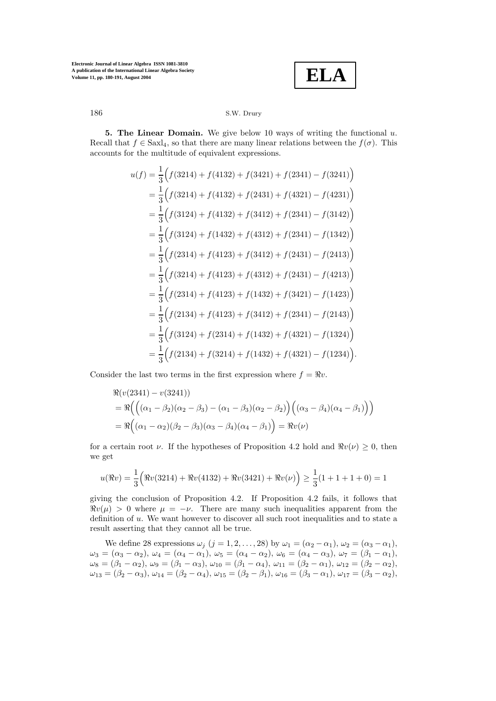**ELA**

**5. The Linear Domain.** We give below 10 ways of writing the functional  $u$ . Recall that  $f \in Saxl_4$ , so that there are many linear relations between the  $f(\sigma)$ . This accounts for the multitude of equivalent expressions.

$$
u(f) = \frac{1}{3} (f(3214) + f(4132) + f(3421) + f(2341) - f(3241))
$$
  
\n
$$
= \frac{1}{3} (f(3214) + f(4132) + f(2431) + f(4321) - f(4231))
$$
  
\n
$$
= \frac{1}{3} (f(3124) + f(4132) + f(3412) + f(2341) - f(3142))
$$
  
\n
$$
= \frac{1}{3} (f(3124) + f(1432) + f(4312) + f(2341) - f(1342))
$$
  
\n
$$
= \frac{1}{3} (f(2314) + f(4123) + f(3412) + f(2431) - f(2413))
$$
  
\n
$$
= \frac{1}{3} (f(3214) + f(4123) + f(4312) + f(2431) - f(4213))
$$
  
\n
$$
= \frac{1}{3} (f(2314) + f(4123) + f(1432) + f(3421) - f(1423))
$$
  
\n
$$
= \frac{1}{3} (f(2134) + f(4123) + f(3412) + f(2341) - f(2143))
$$
  
\n
$$
= \frac{1}{3} (f(3124) + f(2314) + f(1432) + f(4321) - f(1324))
$$
  
\n
$$
= \frac{1}{3} (f(2134) + f(3214) + f(1432) + f(4321) - f(1234))
$$

Consider the last two terms in the first expression where  $f = \Re v$ .

$$
\mathcal{R}(v(2341) - v(3241))
$$
  
=  $\mathcal{R}\left(\left((\alpha_1 - \beta_2)(\alpha_2 - \beta_3) - (\alpha_1 - \beta_3)(\alpha_2 - \beta_2)\right)\left((\alpha_3 - \beta_4)(\alpha_4 - \beta_1)\right)\right)$   
=  $\mathcal{R}\left((\alpha_1 - \alpha_2)(\beta_2 - \beta_3)(\alpha_3 - \beta_4)(\alpha_4 - \beta_1)\right) = \mathcal{R}v(\nu)$ 

for a certain root  $\nu$ . If the hypotheses of Proposition 4.2 hold and  $\Re v(\nu) \geq 0$ , then we get

$$
u(\Re v) = \frac{1}{3} \Big( \Re v(3214) + \Re v(4132) + \Re v(3421) + \Re v(\nu) \Big) \ge \frac{1}{3} (1 + 1 + 1 + 0) = 1
$$

giving the conclusion of Proposition 4.2. If Proposition 4.2 fails, it follows that  $\Re v(\mu) > 0$  where  $\mu = -\nu$ . There are many such inequalities apparent from the definition of u. We want however to discover all such root inequalities and to state a result asserting that they cannot all be true.

We define 28 expressions  $\omega_j$   $(j = 1, 2, ..., 28)$  by  $\omega_1 = (\alpha_2 - \alpha_1), \omega_2 = (\alpha_3 - \alpha_1),$  $\omega_3 = (\alpha_3 - \alpha_2), \ \omega_4 = (\alpha_4 - \alpha_1), \ \omega_5 = (\alpha_4 - \alpha_2), \ \omega_6 = (\alpha_4 - \alpha_3), \ \omega_7 = (\beta_1 - \alpha_1),$  $\omega_8 = (\beta_1 - \alpha_2), \, \omega_9 = (\beta_1 - \alpha_3), \, \omega_{10} = (\beta_1 - \alpha_4), \, \omega_{11} = (\beta_2 - \alpha_1), \, \omega_{12} = (\beta_2 - \alpha_2),$  $\omega_{13} = (\beta_2 - \alpha_3), \, \omega_{14} = (\beta_2 - \alpha_4), \, \omega_{15} = (\beta_2 - \beta_1), \, \omega_{16} = (\beta_3 - \alpha_1), \, \omega_{17} = (\beta_3 - \alpha_2),$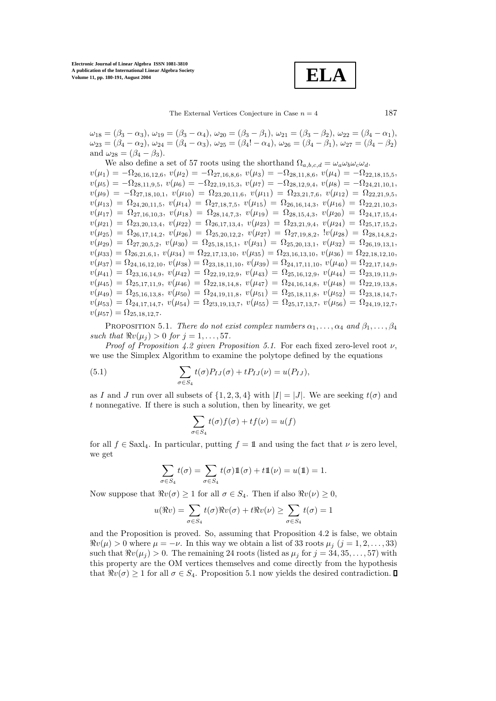**ELA**

 $\omega_{18} = (\beta_3 - \alpha_3), \omega_{19} = (\beta_3 - \alpha_4), \omega_{20} = (\beta_3 - \beta_1), \omega_{21} = (\beta_3 - \beta_2), \omega_{22} = (\beta_4 - \alpha_1),$  $\omega_{23} = (\beta_4 - \alpha_2), \omega_{24} = (\beta_4 - \alpha_3), \omega_{25} = (\beta_4! - \alpha_4), \omega_{26} = (\beta_4 - \beta_1), \omega_{27} = (\beta_4 - \beta_2)$ and  $\omega_{28} = (\beta_4 - \beta_3)$ .

We also define a set of 57 roots using the shorthand  $\Omega_{a,b,c,d} = \omega_a \omega_b \omega_c \omega_d$ .  $v(\mu_1) = -\Omega_{26,16,12,6}, v(\mu_2) = -\Omega_{27,16,8,6}, v(\mu_3) = -\Omega_{28,11,8,6}, v(\mu_4) = -\Omega_{22,18,15,5},$  $v(\mu_5) = -\Omega_{28,11,9,5}, v(\mu_6) = -\Omega_{22,19,15,3}, v(\mu_7) = -\Omega_{28,12,9,4}, v(\mu_8) = -\Omega_{24,21,10,1},$  $v(\mu_9) = -\Omega_{27,18,10,1}, v(\mu_{10})=\Omega_{23,20,11,6}, v(\mu_{11})=\Omega_{23,21,7,6}, v(\mu_{12})=\Omega_{22,21,9,5,5}$  $v(\mu_{13})=\Omega_{24,20,11,5}, v(\mu_{14})=\Omega_{27,18,7,5}, v(\mu_{15})=\Omega_{26,16,14,3}, v(\mu_{16})=\Omega_{22,21,10,3},$  $v(\mu_{17})=\Omega_{27,16,10,3}, v(\mu_{18})=\Omega_{28,14,7,3}, v(\mu_{19})=\Omega_{28,15,4,3}, v(\mu_{20})=\Omega_{24,17,15,4},$  $v(\mu_{21})=\Omega_{23,20,13,4}, v(\mu_{22})=\Omega_{26,17,13,4}, v(\mu_{23})=\Omega_{23,21,9,4}, v(\mu_{24})=\Omega_{25,17,15,2},$  $v(\mu_{25})=\Omega_{26,17,14,2}, v(\mu_{26})=\Omega_{25,20,12,2}, v(\mu_{27})=\Omega_{27,19,8,2}, v(\mu_{28})=\Omega_{28,14,8,2},$  $v(\mu_{29})=\Omega_{27,20,5,2}, v(\mu_{30})=\Omega_{25,18,15,1}, v(\mu_{31})=\Omega_{25,20,13,1}, v(\mu_{32})=\Omega_{26,19,13,1},$  $v(\mu_{33})=\Omega_{26,21,6,1}, v(\mu_{34})=\Omega_{22,17,13,10}, v(\mu_{35})=\Omega_{23,16,13,10}, v(\mu_{36})=\Omega_{22,18,12,10},$  $v(\mu_{37})=\Omega_{24,16,12,10}, v(\mu_{38})=\Omega_{23,18,11,10}, v(\mu_{39})=\Omega_{24,17,11,10}, v(\mu_{40})=\Omega_{22,17,14,9},$  $v(\mu_{41})=\Omega_{23,16,14,9}, v(\mu_{42})=\Omega_{22,19,12,9}, v(\mu_{43})=\Omega_{25,16,12,9}, v(\mu_{44})=\Omega_{23,19,11,9},$  $v(\mu_{45})=\Omega_{25,17,11,9}, v(\mu_{46})=\Omega_{22,18,14,8}, v(\mu_{47})=\Omega_{24,16,14,8}, v(\mu_{48})=\Omega_{22,19,13,8},$  $v(\mu_{49})=\Omega_{25,16,13,8}, v(\mu_{50})=\Omega_{24,19,11,8}, v(\mu_{51})=\Omega_{25,18,11,8}, v(\mu_{52})=\Omega_{23,18,14,7,7}$  $v(\mu_{53})=\Omega_{24,17,14,7}, v(\mu_{54})=\Omega_{213,19,13,7}, v(\mu_{55})=\Omega_{25,17,13,7}, v(\mu_{56})=\Omega_{24,19,12,7}$  $v(\mu_{57})=\Omega_{25,18,12,7}.$ 

PROPOSITION 5.1. There do not exist complex numbers  $\alpha_1, \ldots, \alpha_4$  and  $\beta_1, \ldots, \beta_4$ such that  $\Re v(\mu_i) > 0$  for  $i = 1, \ldots, 57$ .

Proof of Proposition 4.2 given Proposition 5.1. For each fixed zero-level root  $\nu$ , we use the Simplex Algorithm to examine the polytope defined by the equations

(5.1) 
$$
\sum_{\sigma \in S_4} t(\sigma) P_{IJ}(\sigma) + t P_{IJ}(\nu) = u(P_{IJ}),
$$

as I and J run over all subsets of  $\{1, 2, 3, 4\}$  with  $|I| = |J|$ . We are seeking  $t(\sigma)$  and  $t$  nonnegative. If there is such a solution, then by linearity, we get

$$
\sum_{\sigma \in S_4} t(\sigma) f(\sigma) + t f(\nu) = u(f)
$$

for all  $f \in Saxl_4$ . In particular, putting  $f = \mathbb{1}$  and using the fact that  $\nu$  is zero level, we get

$$
\sum_{\sigma \in S_4} t(\sigma) = \sum_{\sigma \in S_4} t(\sigma) 1\!\!1(\sigma) + t1\!\!1(\nu) = u(1\!\!1) = 1.
$$

Now suppose that  $\Re v(\sigma) \geq 1$  for all  $\sigma \in S_4$ . Then if also  $\Re v(\nu) \geq 0$ ,

$$
u(\Re v) = \sum_{\sigma \in S_4} t(\sigma) \Re v(\sigma) + t \Re v(\nu) \ge \sum_{\sigma \in S_4} t(\sigma) = 1
$$

and the Proposition is proved. So, assuming that Proposition 4.2 is false, we obtain  $\Re v(\mu) > 0$  where  $\mu = -\nu$ . In this way we obtain a list of 33 roots  $\mu_i$  (j = 1,2,..., 33) such that  $\Re v(\mu_i) > 0$ . The remaining 24 roots (listed as  $\mu_i$  for  $j = 34, 35, \ldots, 57$ ) with this property are the OM vertices themselves and come directly from the hypothesis that  $\Re v(\sigma) \geq 1$  for all  $\sigma \in S_4$ . Proposition 5.1 now yields the desired contradiction.  $\Box$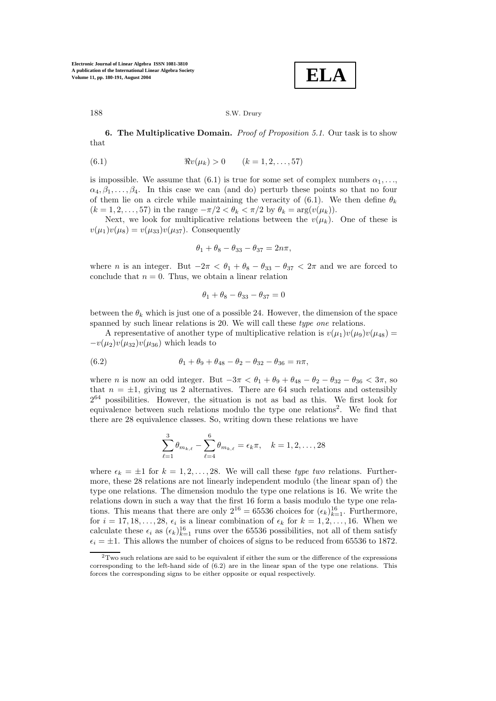$$
\boxed{\textbf{ELA}}
$$

**6. The Multiplicative Domain.** Proof of Proposition 5.1. Our task is to show that

(6.1) 
$$
\Re v(\mu_k) > 0 \qquad (k = 1, 2, ..., 57)
$$

is impossible. We assume that (6.1) is true for some set of complex numbers  $\alpha_1, \ldots$  $\alpha_4, \beta_1, \ldots, \beta_4$ . In this case we can (and do) perturb these points so that no four of them lie on a circle while maintaining the veracity of (6.1). We then define  $\theta_k$  $(k = 1, 2, \ldots, 57)$  in the range  $-\pi/2 < \theta_k < \pi/2$  by  $\theta_k = \arg(v(\mu_k)).$ 

Next, we look for multiplicative relations between the  $v(\mu_k)$ . One of these is  $v(\mu_1)v(\mu_8) = v(\mu_{33})v(\mu_{37})$ . Consequently

$$
\theta_1 + \theta_8 - \theta_{33} - \theta_{37} = 2n\pi,
$$

where *n* is an integer. But  $-2\pi < \theta_1 + \theta_8 - \theta_{33} - \theta_{37} < 2\pi$  and we are forced to conclude that  $n = 0$ . Thus, we obtain a linear relation

$$
\theta_1 + \theta_8 - \theta_{33} - \theta_{37} = 0
$$

between the  $\theta_k$  which is just one of a possible 24. However, the dimension of the space spanned by such linear relations is 20. We will call these type one relations.

A representative of another type of multiplicative relation is  $v(\mu_1)v(\mu_9)v(\mu_{48}) =$  $-v(\mu_2)v(\mu_{32})v(\mu_{36})$  which leads to

(6.2) 
$$
\theta_1 + \theta_9 + \theta_{48} - \theta_2 - \theta_{32} - \theta_{36} = n\pi,
$$

where n is now an odd integer. But  $-3\pi < \theta_1 + \theta_9 + \theta_{48} - \theta_2 - \theta_{32} - \theta_{36} < 3\pi$ , so that  $n = \pm 1$ , giving us 2 alternatives. There are 64 such relations and ostensibly  $2^{64}$  possibilities. However, the situation is not as bad as this. We first look for equivalence between such relations modulo the type one relations<sup>2</sup>. We find that there are 28 equivalence classes. So, writing down these relations we have

$$
\sum_{\ell=1}^{3} \theta_{m_{k,\ell}} - \sum_{\ell=4}^{6} \theta_{m_{k,\ell}} = \epsilon_k \pi, \quad k = 1, 2, \dots, 28
$$

where  $\epsilon_k = \pm 1$  for  $k = 1, 2, \ldots, 28$ . We will call these type two relations. Furthermore, these 28 relations are not linearly independent modulo (the linear span of) the type one relations. The dimension modulo the type one relations is 16. We write the relations down in such a way that the first 16 form a basis modulo the type one relations. This means that there are only  $2^{16} = 65536$  choices for  $(\epsilon_k)_{k=1}^{16}$ . Furthermore, for  $i = 17, 18, \ldots, 28, \epsilon_i$  is a linear combination of  $\epsilon_k$  for  $k = 1, 2, \ldots, 16$ . When we calculate these  $\epsilon_i$  as  $(\epsilon_k)_{k=1}^{16}$  runs over the 65536 possibilities, not all of them satisfy  $\epsilon_i = \pm 1$ . This allows the number of choices of signs to be reduced from 65536 to 1872.

 $2$ Two such relations are said to be equivalent if either the sum or the difference of the expressions corresponding to the left-hand side of (6.2) are in the linear span of the type one relations. This forces the corresponding signs to be either opposite or equal respectively.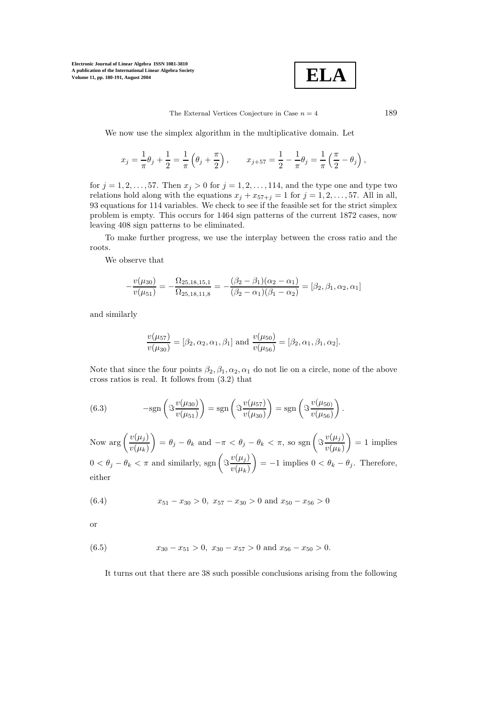

The External Vertices Conjecture in Case  $n = 4$  189

We now use the simplex algorithm in the multiplicative domain. Let

$$
x_j = \frac{1}{\pi} \theta_j + \frac{1}{2} = \frac{1}{\pi} \left( \theta_j + \frac{\pi}{2} \right), \qquad x_{j+57} = \frac{1}{2} - \frac{1}{\pi} \theta_j = \frac{1}{\pi} \left( \frac{\pi}{2} - \theta_j \right),
$$

for  $j = 1, 2, ..., 57$ . Then  $x_j > 0$  for  $j = 1, 2, ..., 114$ , and the type one and type two relations hold along with the equations  $x_j + x_{57+j} = 1$  for  $j = 1, 2, \ldots, 57$ . All in all, 93 equations for 114 variables. We check to see if the feasible set for the strict simplex problem is empty. This occurs for 1464 sign patterns of the current 1872 cases, now leaving 408 sign patterns to be eliminated.

To make further progress, we use the interplay between the cross ratio and the roots.

We observe that

$$
-\frac{v(\mu_{30})}{v(\mu_{51})} = -\frac{\Omega_{25,18,15,1}}{\Omega_{25,18,11,8}} = -\frac{(\beta_2 - \beta_1)(\alpha_2 - \alpha_1)}{(\beta_2 - \alpha_1)(\beta_1 - \alpha_2)} = [\beta_2, \beta_1, \alpha_2, \alpha_1]
$$

and similarly

$$
\frac{v(\mu_{57})}{v(\mu_{30})} = [\beta_2, \alpha_2, \alpha_1, \beta_1] \text{ and } \frac{v(\mu_{50})}{v(\mu_{56})} = [\beta_2, \alpha_1, \beta_1, \alpha_2].
$$

Note that since the four points  $\beta_2, \beta_1, \alpha_2, \alpha_1$  do not lie on a circle, none of the above cross ratios is real. It follows from (3.2) that

(6.3) 
$$
-\text{sgn}\left(\Im \frac{v(\mu_{30})}{v(\mu_{51})}\right) = \text{sgn}\left(\Im \frac{v(\mu_{57})}{v(\mu_{30})}\right) = \text{sgn}\left(\Im \frac{v(\mu_{50})}{v(\mu_{56})}\right).
$$

Now  $\arg\left(\frac{v(\mu_j)}{v(\mu_k)}\right)$  $\Bigg) = \theta_j - \theta_k \text{ and } -\pi < \theta_j - \theta_k < \pi \text{, so } \text{sgn}\left(\Im \frac{v(\mu_j)}{v(\mu_k)}\right)$  $= 1$  implies  $0 < \theta_j - \theta_k < \pi$  and similarly, sgn  $\left(\Im \frac{v(\mu_j)}{v(\mu_k)}\right)$  $= -1$  implies  $0 < \theta_k - \theta_j$ . Therefore, either

(6.4) 
$$
x_{51} - x_{30} > 0, \ x_{57} - x_{30} > 0 \text{ and } x_{50} - x_{56} > 0
$$

or

(6.5) 
$$
x_{30} - x_{51} > 0, \ x_{30} - x_{57} > 0 \text{ and } x_{56} - x_{50} > 0.
$$

It turns out that there are 38 such possible conclusions arising from the following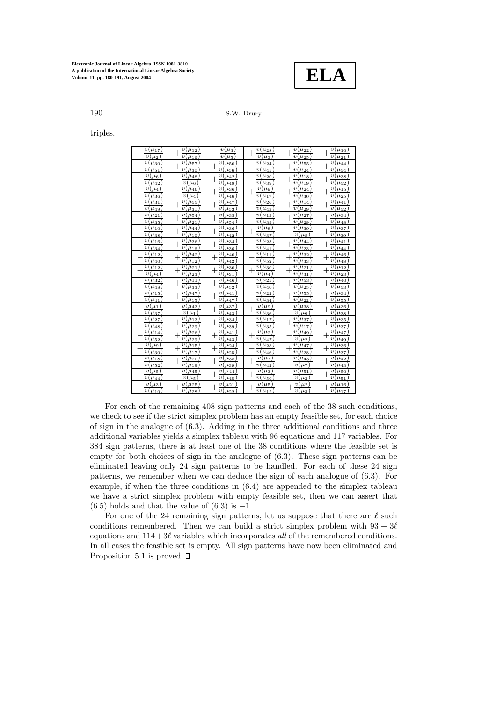

# 190 S.W. Drury

triples.

| $v(\mu_{17})$                | $v(\mu_{12})$                  | $v(\mu_3)$                        | $v(\mu_{28})$                              | $v(\mu_{22})$                   | $v(\mu_{10})$                                            |
|------------------------------|--------------------------------|-----------------------------------|--------------------------------------------|---------------------------------|----------------------------------------------------------|
| v(<br>$\mu_2$                | $v(\mu_{16})$                  | $\overline{v}$<br>$\mu_5$         | v(<br>$\mu_3$                              | $v(\mu_{25})$                   | v(<br>$\mu_{21}$                                         |
| $v(\mu_{30})$                | $v(\mu_{57})$                  | $v(\mu_{50})$                     | $v(\mu_{24})$                              | $v(\mu_{55})$                   | $\overline{v}$ ( $\mu$ <sub>44</sub> )                   |
| $\overline{v}(\mu_{51})$     | $\! +$<br>$v(\mu_{30})$        | $\! +$<br>$v(\mu_{56})$           | $v(\mu_{45})$                              | $\overline{+}$<br>$v(\mu_{24})$ | $^{+}$<br>$v(\mu_{54})$                                  |
| $v(\mu_6)$                   | $v(\mu_{48})$                  | $v(\mu_{42})$                     | v(<br>$\mu_{20}$                           | $\overline{v(\mu_{18})}$        | v(<br>$\mu_{38}$<br>$\overline{+}$                       |
| $v(\mu_{42})$                | v(<br>$(\mu_6)$                | $v(\mu_{48})$                     | v(<br>$\mu_{39}$                           | $v(\mu_{19})$                   | v(<br>$\mu_{52}$                                         |
| $v(\mu_4)$                   | $v(\mu_{46})$                  | v(<br>$\mu_{36}$                  | $\overline{v}$<br>$\mu$ <sup>9</sup>       | v(<br>$\mu_{24}$                | $\upsilon$<br>$\mu_{15}$                                 |
| $v(\mu_{36})$                | $\overline{v}(\mu_4)$          | $v(\mu_{46})$                     | $\mu_{17}$<br>v(                           | $v(\mu_{30}$                    | v(<br>$\mu_{25}$                                         |
| $v(\mu_{31})$                | $v(\mu_{55})$                  | $v(\mu_{47})$                     | $\overline{\mu_{26}}$<br>v(                | $v(\mu_{14})$                   | $\overline{v}$ ( $\mu$ <sub>41</sub> )<br>$\overline{+}$ |
| $v(\mu_{49})$                | $v(\mu_{31})$                  | $\overline{v}(\mu_{53})$          | $\mu_{43}$<br>v(                           | $v(\mu_{29})$                   | $\mu_{52}$<br>v(                                         |
| $\overline{v}(\mu_{21})$     | $v(\mu_{54})$                  | $\overline{v}(\mu_{35})$          | $\mu_{13}$<br>v(                           | $v(\mu_{27})$                   | $v(\mu_{34})$                                            |
| $v(\mu_{35})$                | $v(\mu_{21})$                  | $v(\mu_{54})$                     | $v(\mu_{39})$                              | $v(\mu_{29})$                   | $\overline{v(\mu_{48})}$                                 |
| $\overline{v}(\mu_{10})$     | $v(\mu_{44})$                  | $v(\mu_{36})$                     | $v(\mu_8)$<br>╅                            | $v(\mu_{39})$                   | $v(\mu_{37})$                                            |
| $v(\mu_{38})$                | $v(\mu_{10})$                  | $v(\mu_{42})$                     | $v(\mu_{37})$                              | $v(\mu_8)$                      | $v(\mu_{39})$                                            |
| $v(\mu_{16})$                | $v(\mu_{36})$                  | $v(\mu_{34})$                     | $\mu_{23}$<br>$\upsilon$                   | $v(\mu_{44})$                   | $v(\mu_{41})$                                            |
| $v(\mu_{34})$                | $v(\mu_{16})$                  | $v(\mu_{36})$                     | $\mu_{41}$<br>v(                           | $v(\mu_{23})$                   | v(<br>$\mu_{44}$                                         |
| $(\mu_{12})$<br>v(           | $\mu_{42})$<br>v(              | $\mu_{40}$<br>v(                  | $\mu_{11}$<br>$\upsilon$                   | v(<br>$\mu_{32}$                | v(<br>$\mu_{46}$ )                                       |
| v(<br>$\mu_{40}$             | $v(\mu_{12})$                  | $\mu_{42}$<br>v(                  | $\upsilon$<br>$\mu_{52}$                   | $\overline{v}$<br>$\mu_{33}$    | v(<br>$\overline{\mu_{48}}$                              |
| $v(\mu_{12})$                | $v(\mu_{21})$                  | $v(\mu_{30})$                     | $v(\mu_{30})$<br>$\hspace{0.1mm} +$        | $v(\mu_{21})$                   | v(<br>$\mu_{12}$<br>$\overline{+}$                       |
| v(<br>$\mu_4$<br>v(          | $v(\mu_{23})$                  | v(<br>$\mu_{31}$<br>$v(\mu_{46})$ | $\boldsymbol{v}$<br>$\mu_4$<br>v(          | $v(\mu_{31})$<br>$v(\mu_{53})$  | $\mu_{23}$<br>v(<br>v(<br>$\mu_{40}$                     |
| $\mu_{32}$<br>$v(\mu_{48})$  | $v(\mu_{11})$                  | $^+$<br>$v(\mu_{52})$             | $\mu_{25}$<br>$\overline{v}$<br>$\mu_{40}$ | $^{+}$<br>$v(\mu_{25})$         | $\,+\,$                                                  |
| $\overline{v}$<br>$\mu_{15}$ | $v(\mu_{33})$<br>$v(\mu_{47})$ | $v(\mu_{41})$                     | $\upsilon$<br>$\mu_{22})$                  | $v(\mu_{55})$                   | $v(\mu_{53})$<br>$v(\mu_{34})$                           |
| v(<br>$\mu_{41}$             | $v(\mu_{15})$                  | $v(\mu_{47})$                     | v(<br>$\mu_{34}$                           | $v(\mu_{22})$                   | v(<br>$\mu_{55}$                                         |
| $\overline{v}(\mu_1)$        | $v(\mu_{43})$                  | $\overline{v(\mu_{37})}$          | $\overline{v}$<br>$(\mu_{9})$              | $v(\mu_{38})$                   | $\overline{v(\mu_{36})}$                                 |
| $v(\mu_{37})$                | $\overline{v}(\mu_1)$          | $v(\mu_{43})$                     | $\mu_{36}$<br>v(                           | $v(\mu_9)$                      | $v(\mu_{38})$                                            |
| v(<br>$(\mu_{27})$           | $v(\mu_{13})$                  | $v(\mu_{34})$                     | v(<br>$\mu_{17}$                           | $v(\mu_{37})$                   | $v(\mu_{35})$                                            |
| $v(\mu_{48})$                | $v(\mu_{29})$                  | $v(\mu_{39})$                     | $\mu_{35}$<br>v(                           | $v(\mu_{17})$                   | $v(\mu_{37})$                                            |
| $(\mu_{14})$<br>v(           | $v(\mu_{26})$                  | $v(\mu_{41})$                     | $(\mu_2)$<br>v(                            | $v(\mu_{49})$                   | $v(\mu_{47})$                                            |
| $v(\mu_{52})$                | $v(\mu_{29})$                  | $v(\mu_{43})$                     | $\mu_{47}$<br>v(                           | $v(\mu_2)$                      | $\mu_{49}$<br>v(                                         |
| $\overline{v}(\mu_9)$        | $v(\mu_{15})$                  | $v(\mu_{24})$                     | $\mu_{28}$<br>v(                           | $v(\mu_{47})$                   | $v(\mu_{36})$                                            |
| $v(\mu_{30}$                 | $v(\mu_{17})$                  | $v(\mu_{25})$                     | $v(\mu_{46})$                              | $v(\mu_{28})$                   | $v(\mu_{37})$                                            |
| $\mu_{18}$<br>v(             | $v(\mu_{20})$                  | $\mu_{38}$<br>υl                  | $\mu_7)$<br>v(                             | $v(\mu_{43})$                   | v(<br>$\overline{\mu}_{42}$                              |
| $v(\mu_{52})$                | $v(\mu_{19})$                  | $\mu_{39}$<br>v(                  | $\mu_{42}$<br>v(                           | $\mu_{\overline{L}}$<br>v(      | v(<br>$\mu_{43}$                                         |
| $v(\mu_5)$                   | $v(\mu_{45})$                  | $v(\mu_{44})$                     | $\mu_3$ )<br>v(                            | $v(\mu_{51})$                   | $v(\mu_{50})$                                            |
| $v(\mu_{44}$                 | $\mu_5$ )<br>v(                | v(<br>$\mu_{45}$                  | $\upsilon$<br>$\mu_{50}$                   | $\mu_3$<br>v(                   | $v(\mu_{51}$                                             |
| $v(\mu_3)$                   | $v(\mu_{25})$                  | $v(\mu_{21})$                     | $v(\mu_5)$                                 | $v(\mu_2)$                      | $\overline{v(\mu_{16})}$                                 |
| $v(\mu_{10})$                | $v(\mu_{28})$                  | $v(\mu_{22})$                     | $v(\mu_{12})$                              | $\overline{v(\mu_3)}$           | $v(\mu_{17})$                                            |

For each of the remaining 408 sign patterns and each of the 38 such conditions, we check to see if the strict simplex problem has an empty feasible set, for each choice of sign in the analogue of  $(6.3)$ . Adding in the three additional conditions and three additional variables yields a simplex tableau with 96 equations and 117 variables. For 384 sign patterns, there is at least one of the 38 conditions where the feasible set is empty for both choices of sign in the analogue of  $(6.3)$ . These sign patterns can be eliminated leaving only 24 sign patterns to be handled. For each of these 24 sign patterns, we remember when we can deduce the sign of each analogue of  $(6.3)$ . For example, if when the three conditions in  $(6.4)$  are appended to the simplex tableau we have a strict simplex problem with empty feasible set, then we can assert that  $(6.5)$  holds and that the value of  $(6.3)$  is  $-1$ .

For one of the 24 remaining sign patterns, let us suppose that there are  $\ell$  such conditions remembered. Then we can build a strict simplex problem with  $93 + 3\ell$ equations and  $114+3\ell$  variables which incorporates all of the remembered conditions. In all cases the feasible set is empty. All sign patterns have now been eliminated and Proposition 5.1 is proved.  $\Box$